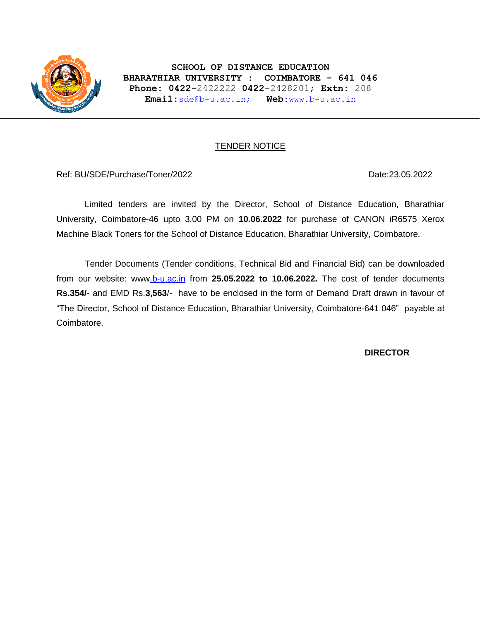

**SCHOOL OF DISTANCE EDUCATION BHARATHIAR UNIVERSITY : COIMBATORE - 641 046 Phone: 0422-**2422222 **0422**-2428201; **Extn:** 208 **Email:**[sde@b-u.ac.in;](mailto:sde@b-u.ac.in) **Web:**[www.b-u.ac.in](http://www.b-u.ac.in/)

### TENDER NOTICE

Ref: BU/SDE/Purchase/Toner/2022 Date:23.05.2022

Limited tenders are invited by the Director, School of Distance Education, Bharathiar University, Coimbatore-46 upto 3.00 PM on **10.06.2022** for purchase of CANON iR6575 Xerox Machine Black Toners for the School of Distance Education, Bharathiar University, Coimbatore.

Tender Documents (Tender conditions, Technical Bid and Financial Bid) can be downloaded from our website: ww[w.b-u.ac.in](http://www.b-u.ac.in/) from **25.05.2022 to 10.06.2022.** The cost of tender documents **Rs.354/-** and EMD Rs.**3,563**/- have to be enclosed in the form of Demand Draft drawn in favour of "The Director, School of Distance Education, Bharathiar University, Coimbatore-641 046" payable at Coimbatore.

### **DIRECTOR**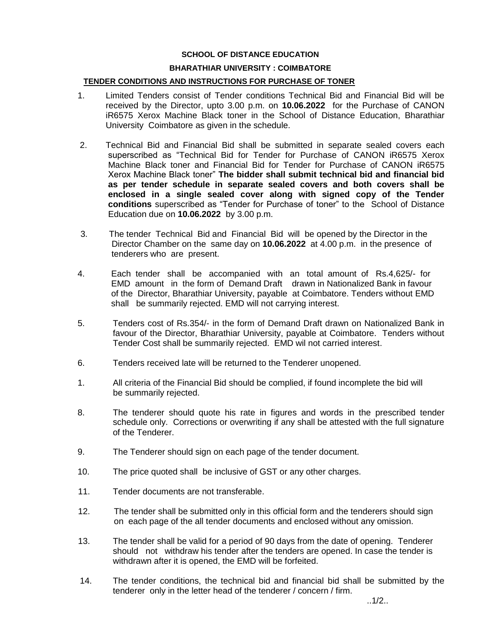#### **SCHOOL OF DISTANCE EDUCATION**

#### **BHARATHIAR UNIVERSITY : COIMBATORE**

#### **TENDER CONDITIONS AND INSTRUCTIONS FOR PURCHASE OF TONER**

- 1. Limited Tenders consist of Tender conditions Technical Bid and Financial Bid will be received by the Director, upto 3.00 p.m. on **10.06.2022** for the Purchase of CANON iR6575 Xerox Machine Black toner in the School of Distance Education, Bharathiar University Coimbatore as given in the schedule.
- 2. Technical Bid and Financial Bid shall be submitted in separate sealed covers each superscribed as "Technical Bid for Tender for Purchase of CANON iR6575 Xerox Machine Black toner and Financial Bid for Tender for Purchase of CANON iR6575 Xerox Machine Black toner" **The bidder shall submit technical bid and financial bid as per tender schedule in separate sealed covers and both covers shall be enclosed in a single sealed cover along with signed copy of the Tender conditions** superscribed as "Tender for Purchase of toner" to the School of Distance Education due on **10.06.2022** by 3.00 p.m.
- 3. The tender Technical Bid and Financial Bid will be opened by the Director in the Director Chamber on the same day on **10.06.2022** at 4.00 p.m. in the presence of tenderers who are present.
- 4. Each tender shall be accompanied with an total amount of Rs.4,625/- for EMD amount in the form of Demand Draft drawn in Nationalized Bank in favour of the Director, Bharathiar University, payable at Coimbatore. Tenders without EMD shall be summarily rejected. EMD will not carrying interest.
- 5. Tenders cost of Rs.354/- in the form of Demand Draft drawn on Nationalized Bank in favour of the Director, Bharathiar University, payable at Coimbatore. Tenders without Tender Cost shall be summarily rejected. EMD wil not carried interest.
- 6. Tenders received late will be returned to the Tenderer unopened.
- 1. All criteria of the Financial Bid should be complied, if found incomplete the bid will be summarily rejected.
- 8. The tenderer should quote his rate in figures and words in the prescribed tender schedule only. Corrections or overwriting if any shall be attested with the full signature of the Tenderer.
- 9. The Tenderer should sign on each page of the tender document.
- 10. The price quoted shall be inclusive of GST or any other charges.
- 11. Tender documents are not transferable.
- 12. The tender shall be submitted only in this official form and the tenderers should sign on each page of the all tender documents and enclosed without any omission.
- 13. The tender shall be valid for a period of 90 days from the date of opening. Tenderer should not withdraw his tender after the tenders are opened. In case the tender is withdrawn after it is opened, the EMD will be forfeited.
- 14. The tender conditions, the technical bid and financial bid shall be submitted by the tenderer only in the letter head of the tenderer / concern / firm.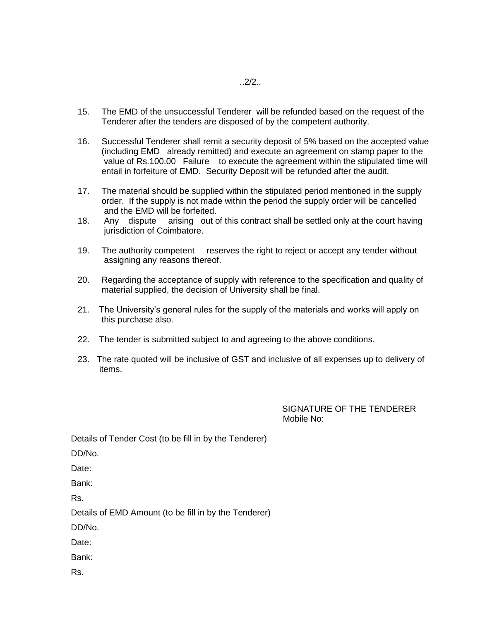- 15. The EMD of the unsuccessful Tenderer will be refunded based on the request of the Tenderer after the tenders are disposed of by the competent authority.
- 16. Successful Tenderer shall remit a security deposit of 5% based on the accepted value (including EMD already remitted) and execute an agreement on stamp paper to the value of Rs.100.00 Failure to execute the agreement within the stipulated time will entail in forfeiture of EMD. Security Deposit will be refunded after the audit.
- 17. The material should be supplied within the stipulated period mentioned in the supply order. If the supply is not made within the period the supply order will be cancelled and the EMD will be forfeited.
- 18. Any dispute arising out of this contract shall be settled only at the court having jurisdiction of Coimbatore.
- 19. The authority competent reserves the right to reject or accept any tender without assigning any reasons thereof.
- 20. Regarding the acceptance of supply with reference to the specification and quality of material supplied, the decision of University shall be final.
- 21. The University's general rules for the supply of the materials and works will apply on this purchase also.
- 22. The tender is submitted subject to and agreeing to the above conditions.
- 23. The rate quoted will be inclusive of GST and inclusive of all expenses up to delivery of items.

SIGNATURE OF THE TENDERER Mobile No:

Details of Tender Cost (to be fill in by the Tenderer)

DD/No.

Date:

Bank:

Rs.

Details of EMD Amount (to be fill in by the Tenderer)

DD/No.

Date:

Bank:

Rs.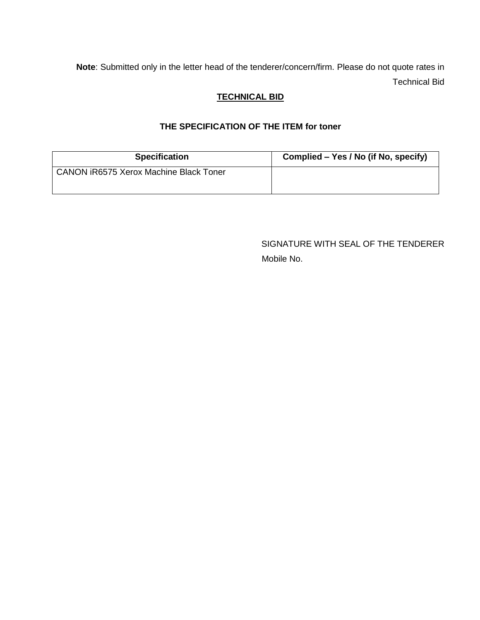**Note**: Submitted only in the letter head of the tenderer/concern/firm. Please do not quote rates in Technical Bid

## **TECHNICAL BID**

# **THE SPECIFICATION OF THE ITEM for toner**

| <b>Specification</b>                          | Complied – Yes / No (if No, specify) |  |
|-----------------------------------------------|--------------------------------------|--|
| <b>CANON iR6575 Xerox Machine Black Toner</b> |                                      |  |

SIGNATURE WITH SEAL OF THE TENDERER Mobile No.